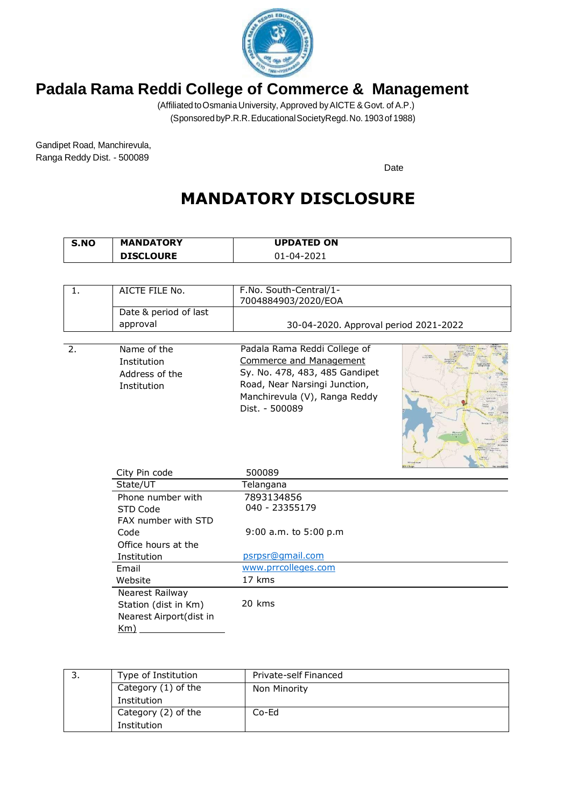

(Affiliated toOsmania University, Approved byAICTE &Govt. of A.P.) (SponsoredbyP.R.R.EducationalSocietyRegd.No. 1903of 1988)

Gandipet Road, Manchirevula, Ranga Reddy Dist. - 500089

Date

# **MANDATORY DISCLOSURE**

| S.NO | <b>MANDATORY</b> | <b>UPDATED ON</b> |
|------|------------------|-------------------|
|      | <b>DISCLOURE</b> | 01-04-2021        |

| $\mathbf{1}$ . | AICTE FILE No.          | F.No. South-Central/1-                |  |
|----------------|-------------------------|---------------------------------------|--|
|                |                         | 7004884903/2020/EOA                   |  |
|                | Date & period of last   |                                       |  |
|                | approval                | 30-04-2020. Approval period 2021-2022 |  |
|                |                         |                                       |  |
| 2.             | Name of the             | Padala Rama Reddi College of          |  |
|                | Institution             | <b>Commerce and Management</b>        |  |
|                | Address of the          | Sy. No. 478, 483, 485 Gandipet        |  |
|                | Institution             | Road, Near Narsingi Junction,         |  |
|                |                         | Manchirevula (V), Ranga Reddy         |  |
|                |                         | Dist. - 500089                        |  |
|                |                         |                                       |  |
|                |                         |                                       |  |
|                |                         |                                       |  |
|                |                         |                                       |  |
|                | City Pin code           | 500089                                |  |
|                | State/UT                | Telangana                             |  |
|                | Phone number with       | 7893134856                            |  |
|                | STD Code                | 040 - 23355179                        |  |
|                | FAX number with STD     |                                       |  |
|                | Code                    |                                       |  |
|                |                         | 9:00 a.m. to 5:00 p.m                 |  |
|                | Office hours at the     |                                       |  |
|                | Institution             | psrpsr@gmail.com                      |  |
|                | Email                   | www.prrcolleges.com                   |  |
|                | Website                 | 17 kms                                |  |
|                | Nearest Railway         |                                       |  |
|                | Station (dist in Km)    | 20 kms                                |  |
|                | Nearest Airport(dist in |                                       |  |
|                | $Km$ )                  |                                       |  |

| Type of Institution | Private-self Financed |
|---------------------|-----------------------|
| Category (1) of the | Non Minority          |
| Institution         |                       |
| Category (2) of the | $Co-Ed$               |
| Institution         |                       |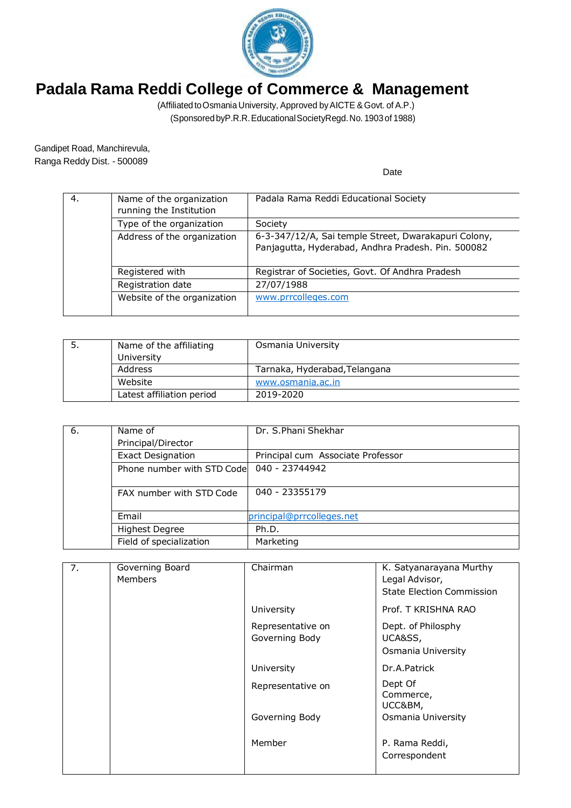

(Affiliated toOsmania University, Approved byAICTE &Govt. of A.P.) (SponsoredbyP.R.R.EducationalSocietyRegd.No. 1903of 1988)

Gandipet Road, Manchirevula, Ranga Reddy Dist. - 500089

| 4. | Name of the organization<br>running the Institution | Padala Rama Reddi Educational Society                                                                      |
|----|-----------------------------------------------------|------------------------------------------------------------------------------------------------------------|
|    | Type of the organization                            | Society                                                                                                    |
|    | Address of the organization                         | 6-3-347/12/A, Sai temple Street, Dwarakapuri Colony,<br>Panjagutta, Hyderabad, Andhra Pradesh. Pin. 500082 |
|    | Registered with                                     | Registrar of Societies, Govt. Of Andhra Pradesh                                                            |
|    | Registration date                                   | 27/07/1988                                                                                                 |
|    | Website of the organization                         | www.prrcolleges.com                                                                                        |

| Name of the affiliating<br>University | Osmania University            |
|---------------------------------------|-------------------------------|
| Address                               | Tarnaka, Hyderabad, Telangana |
| Website                               | www.osmania.ac.in             |
| Latest affiliation period             | 2019-2020                     |

| 6. | Name of                    | Dr. S.Phani Shekhar               |
|----|----------------------------|-----------------------------------|
|    | Principal/Director         |                                   |
|    | <b>Exact Designation</b>   | Principal cum Associate Professor |
|    | Phone number with STD Code | 040 - 23744942                    |
|    | FAX number with STD Code   | 040 - 23355179                    |
|    | Email                      | principal@prrcolleges.net         |
|    | <b>Highest Degree</b>      | Ph.D.                             |
|    | Field of specialization    | Marketing                         |

| 7. | Governing Board<br><b>Members</b> | Chairman                            | K. Satyanarayana Murthy<br>Legal Advisor,<br><b>State Election Commission</b> |
|----|-----------------------------------|-------------------------------------|-------------------------------------------------------------------------------|
|    |                                   | University                          | Prof. T KRISHNA RAO                                                           |
|    |                                   | Representative on<br>Governing Body | Dept. of Philosphy<br>UCA&SS,<br>Osmania University                           |
|    |                                   | University                          | Dr.A.Patrick                                                                  |
|    |                                   | Representative on                   | Dept Of<br>Commerce,<br>UCC&BM,                                               |
|    |                                   | Governing Body                      | Osmania University                                                            |
|    |                                   | Member                              | P. Rama Reddi,<br>Correspondent                                               |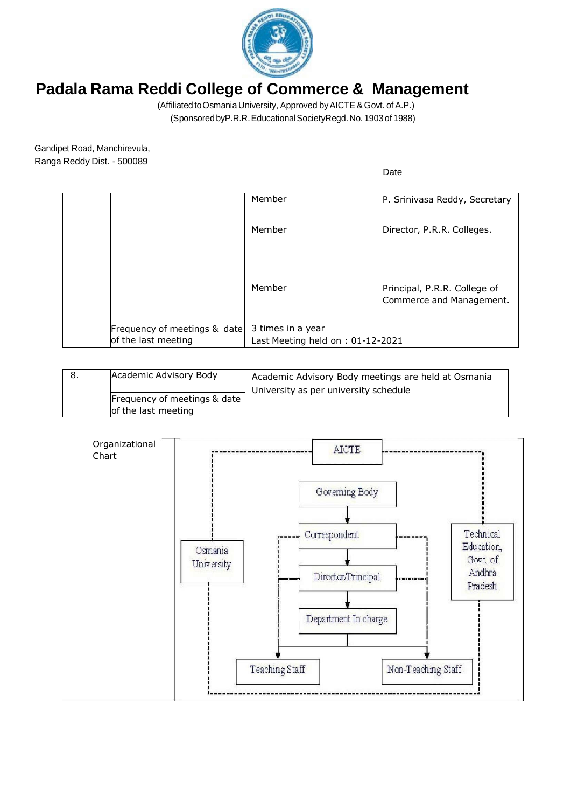

(Affiliated toOsmania University, Approved byAICTE &Govt. of A.P.) (SponsoredbyP.R.R.EducationalSocietyRegd.No. 1903of 1988)

Gandipet Road, Manchirevula, Ranga Reddy Dist. - 500089

|                              | Member                           | P. Srinivasa Reddy, Secretary                            |
|------------------------------|----------------------------------|----------------------------------------------------------|
|                              | Member                           | Director, P.R.R. Colleges.                               |
|                              | Member                           | Principal, P.R.R. College of<br>Commerce and Management. |
| Frequency of meetings & date | 3 times in a year                |                                                          |
| of the last meeting          | Last Meeting held on: 01-12-2021 |                                                          |

| Academic Advisory Body                              | Academic Advisory Body meetings are held at Osmania<br>University as per university schedule |
|-----------------------------------------------------|----------------------------------------------------------------------------------------------|
| Frequency of meetings & date<br>of the last meeting |                                                                                              |

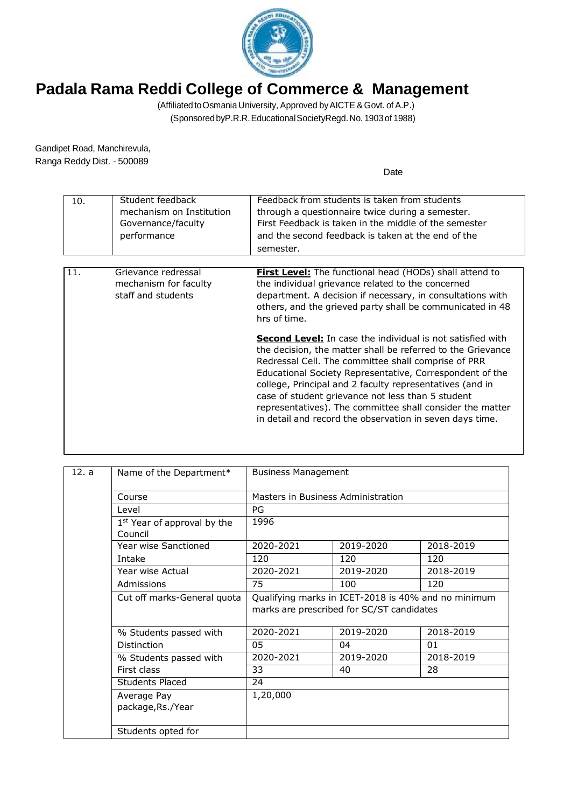

(Affiliated toOsmania University, Approved byAICTE &Govt. of A.P.) (SponsoredbyP.R.R.EducationalSocietyRegd.No. 1903of 1988)

Gandipet Road, Manchirevula, Ranga Reddy Dist. - 500089

| 10. | Student feedback<br>mechanism on Institution<br>Governance/faculty<br>performance | Feedback from students is taken from students<br>through a questionnaire twice during a semester.<br>First Feedback is taken in the middle of the semester<br>and the second feedback is taken at the end of the<br>semester.                                                                                                                                                                                                                                                                 |
|-----|-----------------------------------------------------------------------------------|-----------------------------------------------------------------------------------------------------------------------------------------------------------------------------------------------------------------------------------------------------------------------------------------------------------------------------------------------------------------------------------------------------------------------------------------------------------------------------------------------|
| 11. | Grievance redressal<br>mechanism for faculty<br>staff and students                | <b>First Level:</b> The functional head (HODs) shall attend to<br>the individual grievance related to the concerned<br>department. A decision if necessary, in consultations with<br>others, and the grieved party shall be communicated in 48<br>hrs of time.                                                                                                                                                                                                                                |
|     |                                                                                   | <b>Second Level:</b> In case the individual is not satisfied with<br>the decision, the matter shall be referred to the Grievance<br>Redressal Cell. The committee shall comprise of PRR<br>Educational Society Representative, Correspondent of the<br>college, Principal and 2 faculty representatives (and in<br>case of student grievance not less than 5 student<br>representatives). The committee shall consider the matter<br>in detail and record the observation in seven days time. |

| 12. a | Name of the Department*                            |                                                     | <b>Business Management</b>                |           |  |
|-------|----------------------------------------------------|-----------------------------------------------------|-------------------------------------------|-----------|--|
|       | Course                                             | Masters in Business Administration                  |                                           |           |  |
|       | Level                                              | PG                                                  |                                           |           |  |
|       | 1 <sup>st</sup> Year of approval by the<br>Council | 1996                                                |                                           |           |  |
|       | Year wise Sanctioned                               | 2020-2021                                           | 2019-2020                                 | 2018-2019 |  |
|       | Intake                                             | 120                                                 | 120                                       | 120       |  |
|       | Year wise Actual                                   | 2020-2021                                           | 2019-2020                                 | 2018-2019 |  |
|       | Admissions                                         | 75                                                  | 100                                       | 120       |  |
|       | Cut off marks-General quota                        | Qualifying marks in ICET-2018 is 40% and no minimum |                                           |           |  |
|       |                                                    |                                                     | marks are prescribed for SC/ST candidates |           |  |
|       | % Students passed with                             | 2020-2021                                           | 2019-2020                                 | 2018-2019 |  |
|       | Distinction                                        | 05                                                  | 04                                        | 01        |  |
|       | % Students passed with                             | 2020-2021                                           | 2019-2020                                 | 2018-2019 |  |
|       | First class                                        | 33                                                  | 40                                        | 28        |  |
|       | <b>Students Placed</b>                             | 24                                                  |                                           |           |  |
|       | Average Pay                                        | 1,20,000                                            |                                           |           |  |
|       | package, Rs./Year                                  |                                                     |                                           |           |  |
|       | Students opted for                                 |                                                     |                                           |           |  |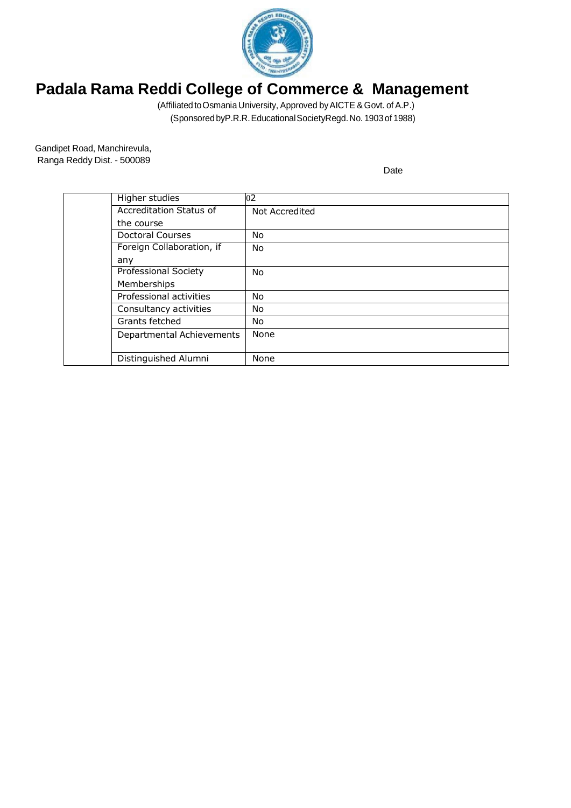

(Affiliated toOsmania University, Approved byAICTE &Govt. of A.P.) (SponsoredbyP.R.R.EducationalSocietyRegd.No. 1903of 1988)

Gandipet Road, Manchirevula, Ranga Reddy Dist. - 500089

| Higher studies              | 02             |
|-----------------------------|----------------|
| Accreditation Status of     | Not Accredited |
| the course                  |                |
| Doctoral Courses            | No             |
| Foreign Collaboration, if   | No             |
| any                         |                |
| <b>Professional Society</b> | No             |
| Memberships                 |                |
| Professional activities     | No             |
| Consultancy activities      | No             |
| Grants fetched              | No.            |
| Departmental Achievements   | None           |
|                             |                |
| Distinguished Alumni        | None           |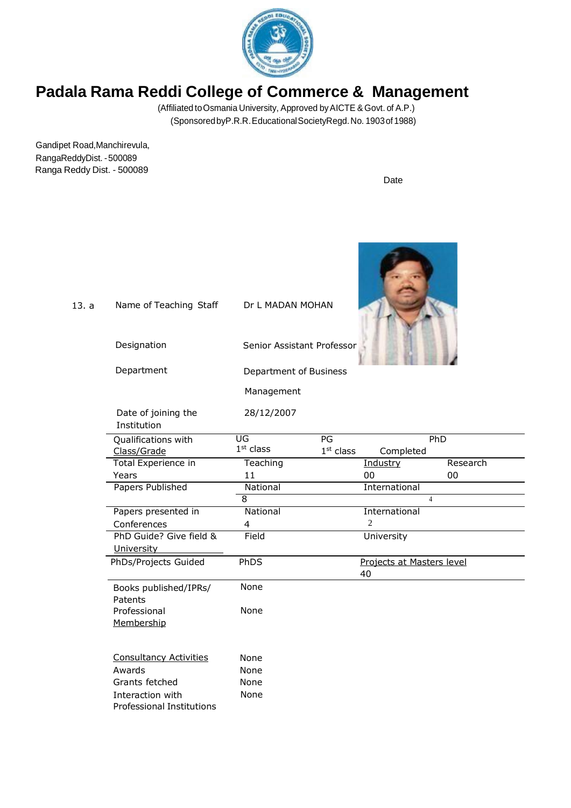

(Affiliated toOsmania University, Approved byAICTE &Govt. of A.P.) (SponsoredbyP.R.R.EducationalSocietyRegd.No. 1903of 1988)

Gandipet Road,Manchirevula, RangaReddyDist. -500089 Ranga Reddy Dist. - 500089

Date

 $\mathcal{P}$ 

| 13. a | Name of Teaching Staff                        | Dr L MADAN MOHAN           |                           |                |
|-------|-----------------------------------------------|----------------------------|---------------------------|----------------|
|       | Designation                                   | Senior Assistant Professor |                           |                |
|       | Department                                    | Department of Business     |                           |                |
|       |                                               | Management                 |                           |                |
|       | Date of joining the<br>Institution            | 28/12/2007                 |                           |                |
|       | Qualifications with                           | UG                         | PG                        | PhD            |
|       | Class/Grade                                   | $1st$ class                | $1st$ class<br>Completed  |                |
|       | Total Experience in                           | Teaching                   | Industry                  | Research       |
|       | Years                                         | 11                         | 00                        | 00             |
|       | Papers Published                              | National                   | International             |                |
|       |                                               | 8                          |                           | $\overline{4}$ |
|       | Papers presented in                           | National                   | International             |                |
|       | Conferences                                   | 4                          | $\overline{c}$            |                |
|       | PhD Guide? Give field &<br>University         | Field                      | University                |                |
|       | PhDs/Projects Guided                          | PhDS                       | Projects at Masters level |                |
|       |                                               |                            | 40                        |                |
|       | Books published/IPRs/<br>Patents              | None                       |                           |                |
|       | Professional<br>Membership                    | None                       |                           |                |
|       | <b>Consultancy Activities</b>                 | None                       |                           |                |
|       | Awards                                        | None                       |                           |                |
|       | Grants fetched                                | None                       |                           |                |
|       | Interaction with<br>Professional Institutions | None                       |                           |                |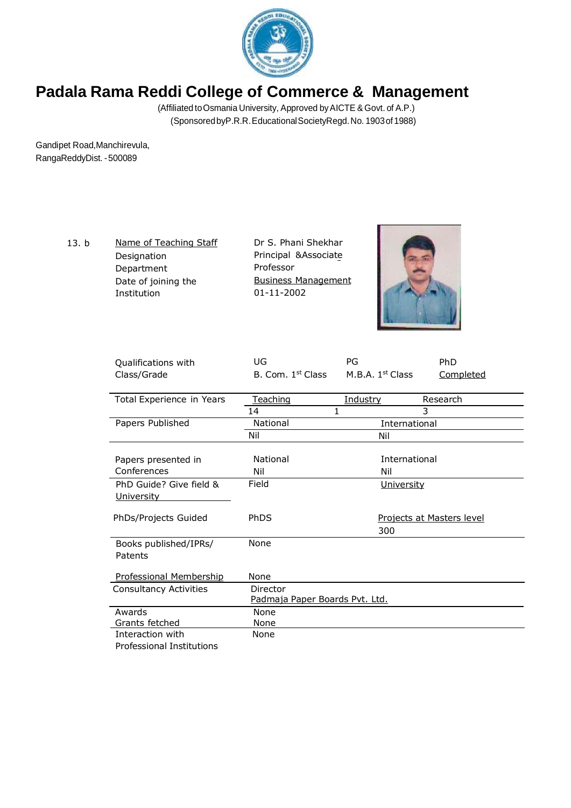

(Affiliated toOsmania University, Approved byAICTE &Govt. of A.P.) (SponsoredbyP.R.R.EducationalSocietyRegd.No. 1903of 1988)

Gandipet Road,Manchirevula, RangaReddyDist. -500089

> 13. b Name of Teaching Staff Designation Department Date of joining the Institution

Dr S. Phani Shekhar Principal &Associate Professor Business Management 01-11-2002



| Qualifications with           | UG                             | PG                 | PhD                       |
|-------------------------------|--------------------------------|--------------------|---------------------------|
| Class/Grade                   | B. Com. 1 <sup>st</sup> Class  | M.B.A. $1st Class$ | <b>Completed</b>          |
|                               |                                |                    |                           |
| Total Experience in Years     | Teaching                       | Industry           | Research                  |
|                               | 14<br>1                        |                    | 3                         |
| Papers Published              | National                       | International      |                           |
|                               | Nil                            | Nil                |                           |
|                               |                                |                    |                           |
| Papers presented in           | National                       | International      |                           |
| Conferences                   | Nil                            | Nil                |                           |
| PhD Guide? Give field &       | Field                          | <b>University</b>  |                           |
| <u>University</u>             |                                |                    |                           |
|                               |                                |                    |                           |
| PhDs/Projects Guided          | PhDS                           |                    | Projects at Masters level |
|                               |                                | 300                |                           |
| Books published/IPRs/         | None                           |                    |                           |
| Patents                       |                                |                    |                           |
|                               |                                |                    |                           |
| Professional Membership       | None                           |                    |                           |
| <b>Consultancy Activities</b> | Director                       |                    |                           |
|                               | Padmaja Paper Boards Pvt. Ltd. |                    |                           |
| Awards                        | None                           |                    |                           |
| Grants fetched                | None                           |                    |                           |
| Interaction with              | None                           |                    |                           |
| Professional Institutions     |                                |                    |                           |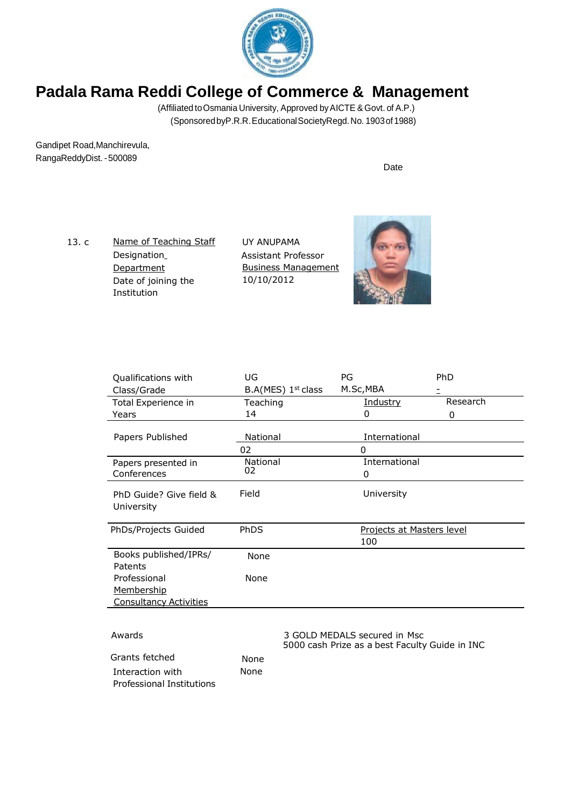

(Affiliated to Osmania University, Approved by AICTE & Govt. of A.P.) (SponsoredbyP.R.R.EducationalSocietyRegd.No. 1903of 1988)

Gandipet Road,Manchirevula, RangaReddyDist. -500089

Date

13. c Name of Teaching Staff Designation **Department** Date of joining the Institution

UY ANUPAMA Assistant Professor Business Management 10/10/2012



| Qualifications with                           | UG                             | PG                                                                             | PhD                              |
|-----------------------------------------------|--------------------------------|--------------------------------------------------------------------------------|----------------------------------|
| Class/Grade                                   | B.A(MES) 1 <sup>st</sup> class | M.Sc, MBA                                                                      |                                  |
| Total Experience in                           | Teaching                       | <b>Industry</b>                                                                | Research                         |
| Years                                         | 14                             | 0                                                                              | 0                                |
|                                               |                                |                                                                                |                                  |
| Papers Published                              | National                       | International                                                                  |                                  |
|                                               | 02                             | 0                                                                              |                                  |
| Papers presented in                           | National                       | International                                                                  |                                  |
| Conferences                                   | 02                             | 0                                                                              |                                  |
| PhD Guide? Give field &<br>University         | Field                          | University                                                                     |                                  |
| PhDs/Projects Guided                          | PhDS                           | 100                                                                            | <b>Projects at Masters level</b> |
| Books published/IPRs/<br>Patents              | None                           |                                                                                |                                  |
| Professional                                  | None                           |                                                                                |                                  |
| Membership                                    |                                |                                                                                |                                  |
| <b>Consultancy Activities</b>                 |                                |                                                                                |                                  |
|                                               |                                |                                                                                |                                  |
| Awards                                        |                                | 3 GOLD MEDALS secured in Msc<br>5000 cash Prize as a best Faculty Guide in INC |                                  |
| Grants fetched                                | None                           |                                                                                |                                  |
| Interaction with<br>Professional Institutions | None                           |                                                                                |                                  |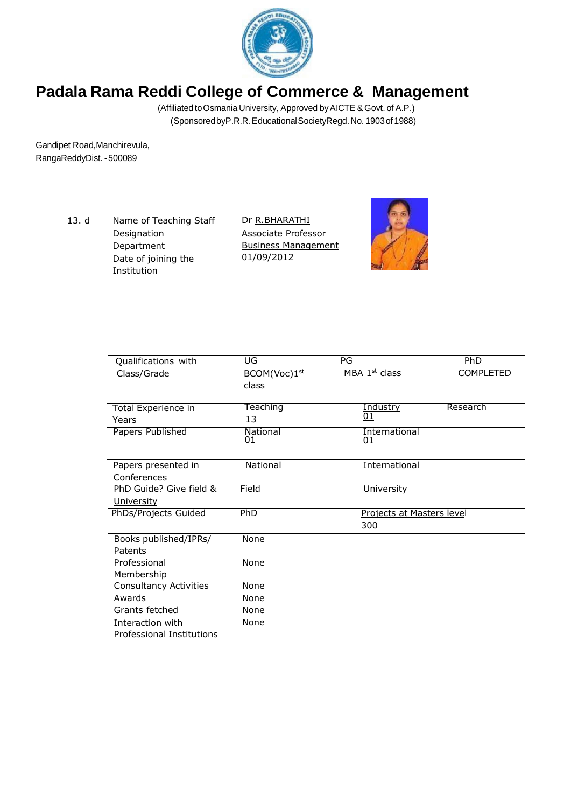

(Affiliated toOsmania University, Approved byAICTE &Govt. of A.P.) (SponsoredbyP.R.R.EducationalSocietyRegd.No. 1903of 1988)

Gandipet Road,Manchirevula, RangaReddyDist. -500089

> 13. d <u>Name of Teaching Staff</u> **Designation Department** Date of joining the Institution

Dr R.BHARATHI Associate Professor Business Management 01/09/2012



| Qualifications with                           | UG           | PG                        | PhD              |
|-----------------------------------------------|--------------|---------------------------|------------------|
| Class/Grade                                   | BCOM(Voc)1st | MBA $1st$ class           | <b>COMPLETED</b> |
|                                               | class        |                           |                  |
|                                               |              |                           |                  |
| Total Experience in                           | Teaching     | Industry                  | Research         |
| Years                                         | 13           | <u>01</u>                 |                  |
| Papers Published                              | National     | International             |                  |
|                                               | ÛŤ           | ŪΤ                        |                  |
| Papers presented in                           | National     | International             |                  |
| Conferences                                   |              |                           |                  |
| PhD Guide? Give field &                       | Field        | <b>University</b>         |                  |
| <u>University</u>                             |              |                           |                  |
| PhDs/Projects Guided                          | PhD          | Projects at Masters level |                  |
|                                               |              | 300                       |                  |
| Books published/IPRs/                         | None         |                           |                  |
| Patents                                       |              |                           |                  |
| Professional                                  | None         |                           |                  |
| Membership                                    |              |                           |                  |
| <b>Consultancy Activities</b>                 | None         |                           |                  |
| Awards                                        | None         |                           |                  |
| Grants fetched                                | None         |                           |                  |
| Interaction with<br>Professional Institutions | None         |                           |                  |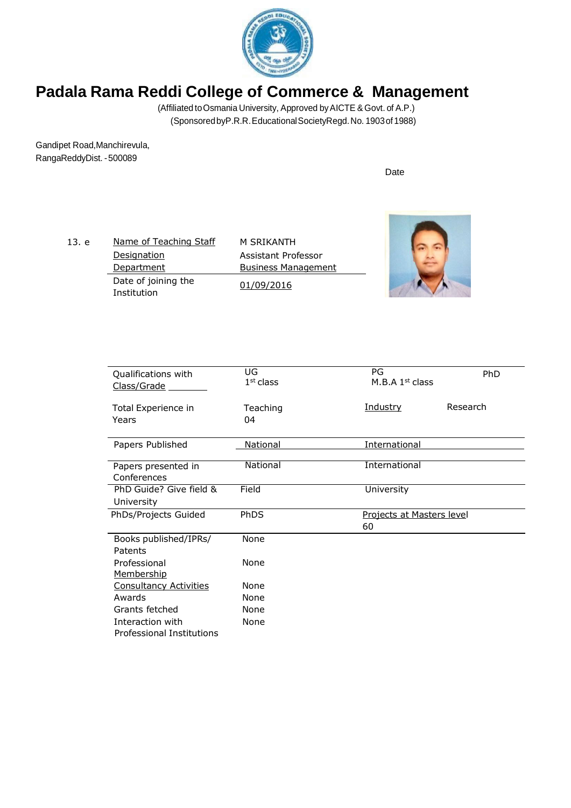

(Affiliated toOsmania University, Approved byAICTE &Govt. of A.P.) (SponsoredbyP.R.R.EducationalSocietyRegd.No. 1903of 1988)

Gandipet Road,Manchirevula, RangaReddyDist. -500089

| 13. e | Name of Teaching Staff             | M SRIKANTH                                        |  |
|-------|------------------------------------|---------------------------------------------------|--|
|       | <b>Designation</b><br>Department   | Assistant Professor<br><b>Business Management</b> |  |
|       | Date of joining the<br>Institution | 01/09/2016                                        |  |

| Qualifications with<br>Class/Grade | UG<br>$1st$ class | PG<br>M.B.A $1st$ class          | PhD      |
|------------------------------------|-------------------|----------------------------------|----------|
|                                    |                   |                                  |          |
| Total Experience in<br>Years       | Teaching<br>04    | <u>Industry</u>                  | Research |
|                                    |                   |                                  |          |
| Papers Published                   | National          | International                    |          |
|                                    |                   |                                  |          |
| Papers presented in                | National          | International                    |          |
| Conferences                        |                   |                                  |          |
| PhD Guide? Give field &            | Field             | University                       |          |
| University                         |                   |                                  |          |
| PhDs/Projects Guided               | PhDS              | <b>Projects at Masters level</b> |          |
|                                    |                   | 60                               |          |
| Books published/IPRs/              | None              |                                  |          |
| Patents                            |                   |                                  |          |
| Professional                       | None              |                                  |          |
| <b>Membership</b>                  |                   |                                  |          |
| <b>Consultancy Activities</b>      | None              |                                  |          |
| Awards                             | None              |                                  |          |
| Grants fetched                     | None              |                                  |          |
| Interaction with                   | None              |                                  |          |
| <b>Professional Institutions</b>   |                   |                                  |          |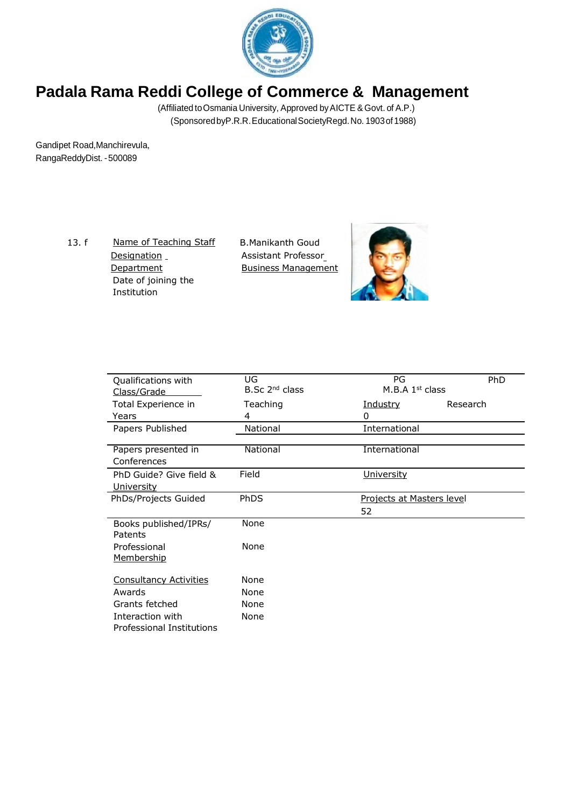

(Affiliated toOsmania University, Approved byAICTE &Govt. of A.P.) (SponsoredbyP.R.R.EducationalSocietyRegd.No. 1903of 1988)

Gandipet Road,Manchirevula, RangaReddyDist. -500089

> 13. f <u>Name of Teaching Staff</u> Designation \_ **Department** Date of joining the Institution

B.Manikanth Goud Assistant Professor Business Management



| Qualifications with              | UG<br>$B.Sc$ 2 <sup>nd</sup> class | PG                               | PhD      |
|----------------------------------|------------------------------------|----------------------------------|----------|
| Class/Grade                      |                                    | M.B.A $1st$ class                |          |
| Total Experience in              | Teaching                           | <u>Industry</u>                  | Research |
| Years                            | 4                                  | 0                                |          |
| Papers Published                 | National                           | International                    |          |
| Papers presented in              | National                           | International                    |          |
| Conferences                      |                                    |                                  |          |
| PhD Guide? Give field &          | Field                              | <b>University</b>                |          |
| <u>University</u>                |                                    |                                  |          |
| PhDs/Projects Guided             | <b>PhDS</b>                        | <b>Projects at Masters level</b> |          |
|                                  |                                    | 52                               |          |
| Books published/IPRs/<br>Patents | None                               |                                  |          |
| Professional<br>Membership       | None                               |                                  |          |
| <b>Consultancy Activities</b>    | None                               |                                  |          |
| Awards                           | None                               |                                  |          |
| Grants fetched                   | None                               |                                  |          |
| Interaction with                 | None                               |                                  |          |
| Professional Institutions        |                                    |                                  |          |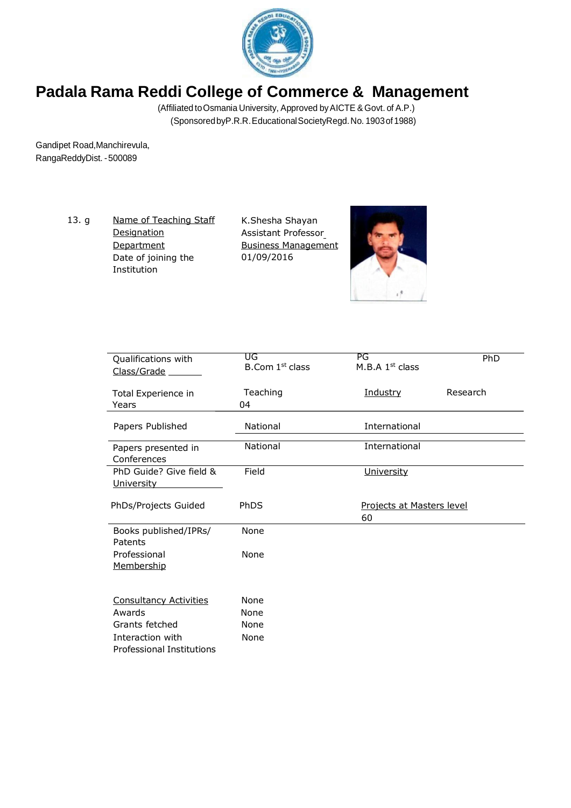

(Affiliated toOsmania University, Approved byAICTE &Govt. of A.P.) (SponsoredbyP.R.R.EducationalSocietyRegd.No. 1903of 1988)

Gandipet Road,Manchirevula, RangaReddyDist. -500089

> 13. g <u>Name of Teaching Staff</u> **Designation Department** Date of joining the Institution

K.Shesha Shayan Assistant Professor Business Management 01/09/2016



| Qualifications with<br>Class/Grade                   | UG<br>B.Com 1 <sup>st</sup> class | PG<br>M.B.A $1st$ class         | <b>PhD</b> |
|------------------------------------------------------|-----------------------------------|---------------------------------|------------|
| Total Experience in<br>Years                         | Teaching<br>04                    | Industry                        | Research   |
| Papers Published                                     | National                          | International                   |            |
| Papers presented in<br>Conferences                   | National                          | International                   |            |
| PhD Guide? Give field &<br><b>University</b>         | Field                             | University                      |            |
| PhDs/Projects Guided                                 | PhDS                              | Projects at Masters level<br>60 |            |
| Books published/IPRs/<br>Patents                     | None                              |                                 |            |
| Professional<br><u>Membership</u>                    | None                              |                                 |            |
| <b>Consultancy Activities</b>                        | None                              |                                 |            |
| Awards                                               | None                              |                                 |            |
| Grants fetched                                       | None                              |                                 |            |
| Interaction with<br><b>Professional Institutions</b> | None                              |                                 |            |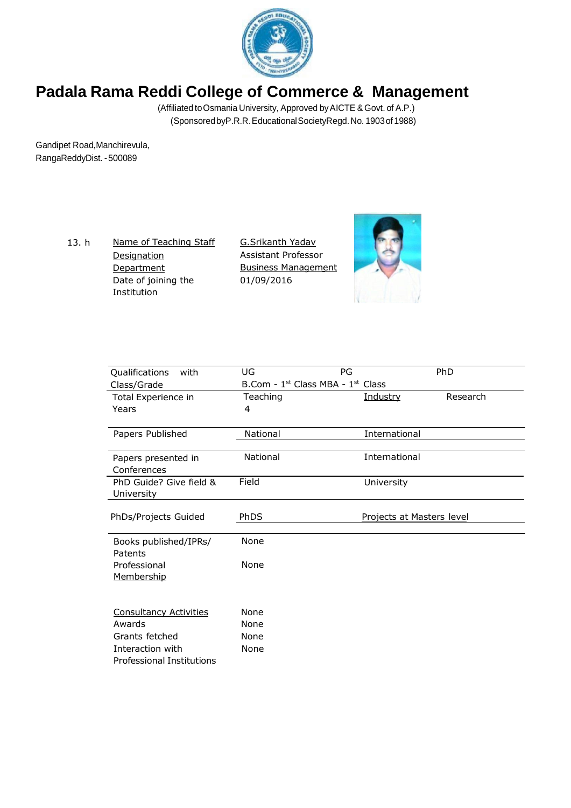

(Affiliated toOsmania University, Approved byAICTE &Govt. of A.P.) (SponsoredbyP.R.R.EducationalSocietyRegd.No. 1903of 1988)

Gandipet Road,Manchirevula, RangaReddyDist. -500089

> 13. h Name of Teaching Staff **Designation Department** Date of joining the Institution

G.Srikanth Yadav Assistant Professor Business Management 01/09/2016



| Qualifications<br>with                | UG                                            | PG            | <b>PhD</b>                |
|---------------------------------------|-----------------------------------------------|---------------|---------------------------|
| Class/Grade                           | B.Com - 1 <sup>st</sup> Class MBA - 1st Class |               |                           |
| Total Experience in                   | Teaching                                      | Industry      | Research                  |
| Years                                 | 4                                             |               |                           |
| Papers Published                      | National                                      | International |                           |
| Papers presented in<br>Conferences    | National                                      | International |                           |
| PhD Guide? Give field &<br>University | Field                                         | University    |                           |
| PhDs/Projects Guided                  | PhDS                                          |               | Projects at Masters level |
| Books published/IPRs/<br>Patents      | None                                          |               |                           |
| Professional<br>Membership            | None                                          |               |                           |
| <b>Consultancy Activities</b>         | None                                          |               |                           |
| Awards                                | None                                          |               |                           |
| Grants fetched                        | None                                          |               |                           |
| Interaction with                      | None                                          |               |                           |
| Professional Institutions             |                                               |               |                           |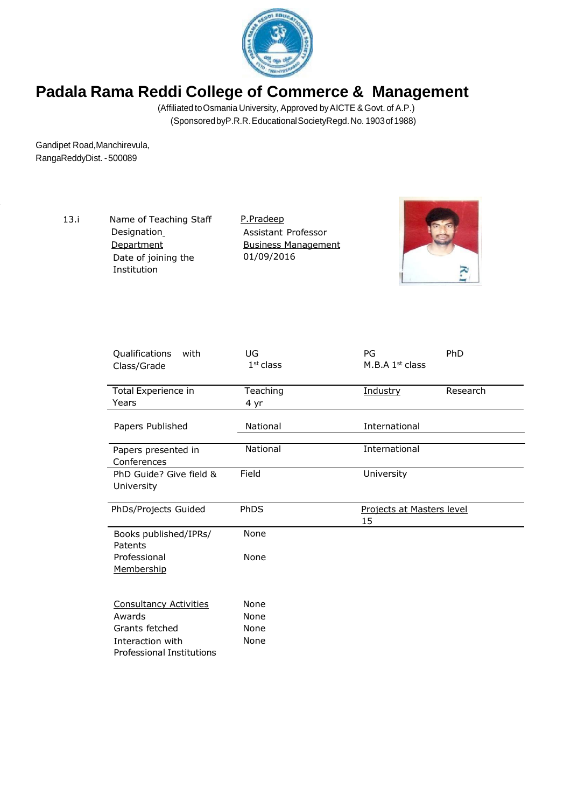

(Affiliated toOsmania University, Approved byAICTE &Govt. of A.P.) (SponsoredbyP.R.R.EducationalSocietyRegd.No. 1903of 1988)

Gandipet Road,Manchirevula, RangaReddyDist. -500089

> 13.i Name of Teaching Staff Designation **Department** Date of joining the Institution

P.Pradeep Assistant Professor **Business Management** 01/09/2016



| Qualifications<br>with<br>Class/Grade                | UG<br>$1st$ class | PG<br>M.B.A $1st$ class         | PhD      |
|------------------------------------------------------|-------------------|---------------------------------|----------|
| Total Experience in<br>Years                         | Teaching<br>4 yr  | Industry                        | Research |
| Papers Published                                     | National          | International                   |          |
| Papers presented in<br>Conferences                   | National          | International                   |          |
| PhD Guide? Give field &<br>University                | Field             | University                      |          |
| PhDs/Projects Guided                                 | PhDS              | Projects at Masters level<br>15 |          |
| Books published/IPRs/<br>Patents                     | None              |                                 |          |
| Professional<br><u>Membership</u>                    | None              |                                 |          |
| <b>Consultancy Activities</b>                        | None              |                                 |          |
| Awards                                               | None              |                                 |          |
| Grants fetched                                       | None              |                                 |          |
| Interaction with<br><b>Professional Institutions</b> | None              |                                 |          |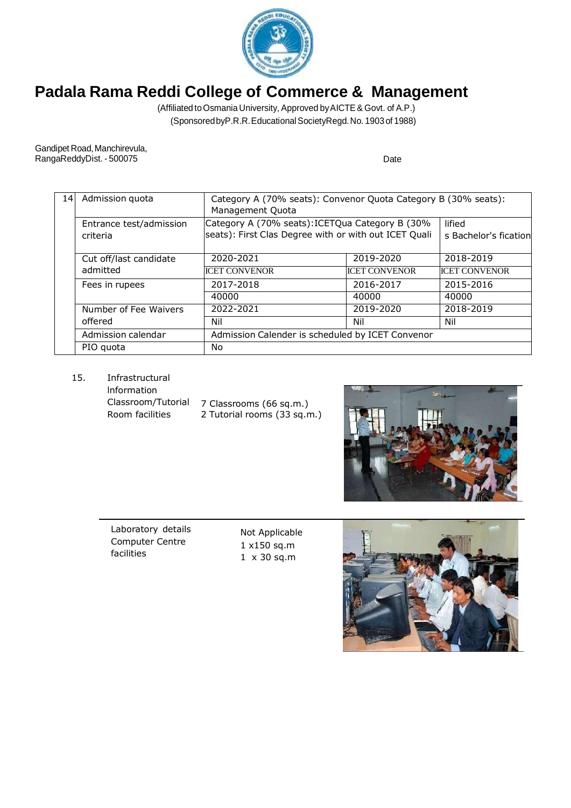

(Affiliated to Osmania University, Approved by AICTE & Govt. of A.P.) (SponsoredbyP.R.R.EducationalSocietyRegd.No. 1903of 1988)

Gandipet Road, Manchirevula, RangaReddyDist. - 500075 Date

| 14 | Admission quota                     | Category A (70% seats): Convenor Quota Category B (30% seats):<br>Management Quota                       |                      |                                 |  |
|----|-------------------------------------|----------------------------------------------------------------------------------------------------------|----------------------|---------------------------------|--|
|    | Entrance test/admission<br>criteria | Category A (70% seats): ICETQua Category B (30%<br>seats): First Clas Degree with or with out ICET Quali |                      | lified<br>s Bachelor's fication |  |
|    | Cut off/last candidate<br>admitted  | 2020-2021                                                                                                | 2019-2020            | 2018-2019                       |  |
|    |                                     | <b>ICET CONVENOR</b>                                                                                     | <b>ICET CONVENOR</b> | <b>ICET CONVENOR</b>            |  |
|    | Fees in rupees                      | 2017-2018                                                                                                | 2016-2017            | 2015-2016                       |  |
|    |                                     | 40000                                                                                                    | 40000                | 40000                           |  |
|    | Number of Fee Waivers               | 2022-2021                                                                                                | 2019-2020            | 2018-2019                       |  |
|    | offered                             | Nil                                                                                                      | Nil                  | Nil                             |  |
|    | Admission calendar                  | Admission Calender is scheduled by ICET Convenor                                                         |                      |                                 |  |
|    | PIO quota                           | No.                                                                                                      |                      |                                 |  |

15. Infrastructural

lnformation Classroom/Tutorial Room facilities

7 Classrooms (66 sq.m.) 2 Tutorial rooms (33 sq.m.)



Laboratory details Computer Centre facilities

Not Applicable 1 x150 sq.m 1 x 30 sq.m

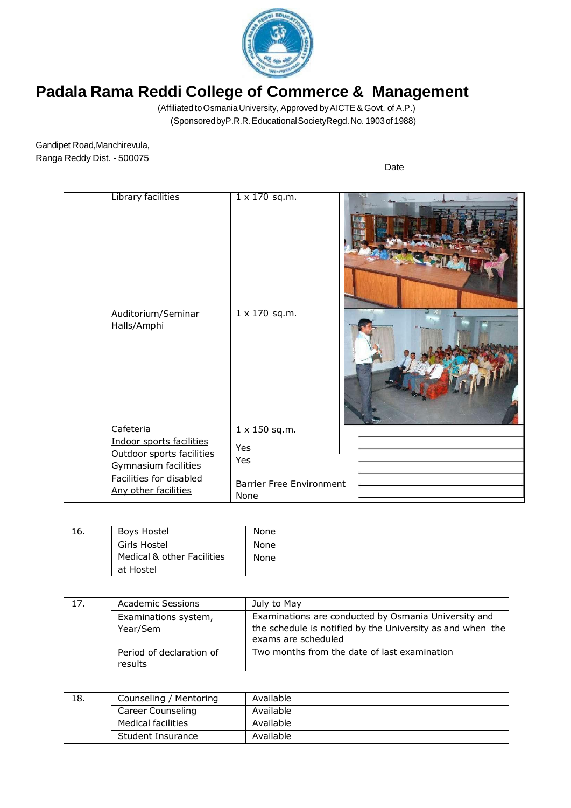

(Affiliated toOsmaniaUniversity, Approved byAICTE & Govt. of A.P.) (SponsoredbyP.R.R.EducationalSocietyRegd.No. 1903of 1988)

Gandipet Road,Manchirevula, Ranga Reddy Dist. - 500075

| Library facilities<br>Auditorium/Seminar<br>Halls/Amphi | $1 \times 170$ sq.m.<br>$1 \times 170$ sq.m. |  |
|---------------------------------------------------------|----------------------------------------------|--|
| Cafeteria                                               | 1 x 150 sq.m.                                |  |
| Indoor sports facilities                                |                                              |  |
| Outdoor sports facilities                               | Yes                                          |  |
| <b>Gymnasium facilities</b>                             | Yes                                          |  |
| Facilities for disabled                                 |                                              |  |
| Any other facilities                                    | <b>Barrier Free Environment</b>              |  |
|                                                         | None                                         |  |

| Iб. | Boys Hostel                | None |
|-----|----------------------------|------|
|     | Girls Hostel               | None |
|     | Medical & other Facilities | None |
|     | at Hostel                  |      |

| 17. | <b>Academic Sessions</b>            | July to May                                                                                                                               |
|-----|-------------------------------------|-------------------------------------------------------------------------------------------------------------------------------------------|
|     | Examinations system,<br>Year/Sem    | Examinations are conducted by Osmania University and<br>the schedule is notified by the University as and when the<br>exams are scheduled |
|     | Period of declaration of<br>results | Two months from the date of last examination                                                                                              |

| 18. | Counseling / Mentoring    | Available |
|-----|---------------------------|-----------|
|     | Career Counseling         | Available |
|     | <b>Medical facilities</b> | Available |
|     | Student Insurance         | Available |